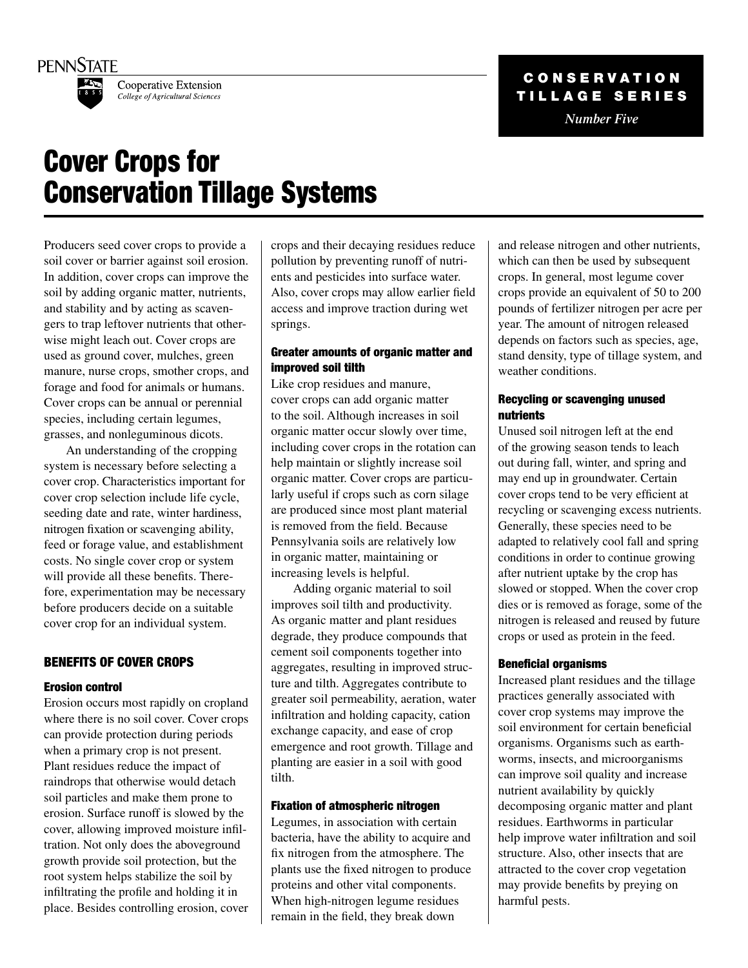



Cooperative Extension College of Agricultural Sciences

# C o n s e r v a t i o n TILLAGE SERIES

*Number Five*

# Cover Crops for Conservation Tillage Systems

Producers seed cover crops to provide a soil cover or barrier against soil erosion. In addition, cover crops can improve the soil by adding organic matter, nutrients, and stability and by acting as scavengers to trap leftover nutrients that otherwise might leach out. Cover crops are used as ground cover, mulches, green manure, nurse crops, smother crops, and forage and food for animals or humans. Cover crops can be annual or perennial species, including certain legumes, grasses, and nonleguminous dicots.

An understanding of the cropping system is necessary before selecting a cover crop. Characteristics important for cover crop selection include life cycle, seeding date and rate, winter hardiness, nitrogen fixation or scavenging ability, feed or forage value, and establishment costs. No single cover crop or system will provide all these benefits. Therefore, experimentation may be necessary before producers decide on a suitable cover crop for an individual system.

### Benefits of Cover Crops

#### Erosion control

Erosion occurs most rapidly on cropland where there is no soil cover. Cover crops can provide protection during periods when a primary crop is not present. Plant residues reduce the impact of raindrops that otherwise would detach soil particles and make them prone to erosion. Surface runoff is slowed by the cover, allowing improved moisture infiltration. Not only does the aboveground growth provide soil protection, but the root system helps stabilize the soil by infiltrating the profile and holding it in place. Besides controlling erosion, cover

crops and their decaying residues reduce pollution by preventing runoff of nutrients and pesticides into surface water. Also, cover crops may allow earlier field access and improve traction during wet springs.

#### Greater amounts of organic matter and improved soil tilth

Like crop residues and manure, cover crops can add organic matter to the soil. Although increases in soil organic matter occur slowly over time, including cover crops in the rotation can help maintain or slightly increase soil organic matter. Cover crops are particularly useful if crops such as corn silage are produced since most plant material is removed from the field. Because Pennsylvania soils are relatively low in organic matter, maintaining or increasing levels is helpful.

Adding organic material to soil improves soil tilth and productivity. As organic matter and plant residues degrade, they produce compounds that cement soil components together into aggregates, resulting in improved structure and tilth. Aggregates contribute to greater soil permeability, aeration, water infiltration and holding capacity, cation exchange capacity, and ease of crop emergence and root growth. Tillage and planting are easier in a soil with good tilth.

#### Fixation of atmospheric nitrogen

Legumes, in association with certain bacteria, have the ability to acquire and fix nitrogen from the atmosphere. The plants use the fixed nitrogen to produce proteins and other vital components. When high-nitrogen legume residues remain in the field, they break down

and release nitrogen and other nutrients, which can then be used by subsequent crops. In general, most legume cover crops provide an equivalent of 50 to 200 pounds of fertilizer nitrogen per acre per year. The amount of nitrogen released depends on factors such as species, age, stand density, type of tillage system, and weather conditions.

#### Recycling or scavenging unused nutrients

Unused soil nitrogen left at the end of the growing season tends to leach out during fall, winter, and spring and may end up in groundwater. Certain cover crops tend to be very efficient at recycling or scavenging excess nutrients. Generally, these species need to be adapted to relatively cool fall and spring conditions in order to continue growing after nutrient uptake by the crop has slowed or stopped. When the cover crop dies or is removed as forage, some of the nitrogen is released and reused by future crops or used as protein in the feed.

#### Beneficial organisms

Increased plant residues and the tillage practices generally associated with cover crop systems may improve the soil environment for certain beneficial organisms. Organisms such as earthworms, insects, and microorganisms can improve soil quality and increase nutrient availability by quickly decomposing organic matter and plant residues. Earthworms in particular help improve water infiltration and soil structure. Also, other insects that are attracted to the cover crop vegetation may provide benefits by preying on harmful pests.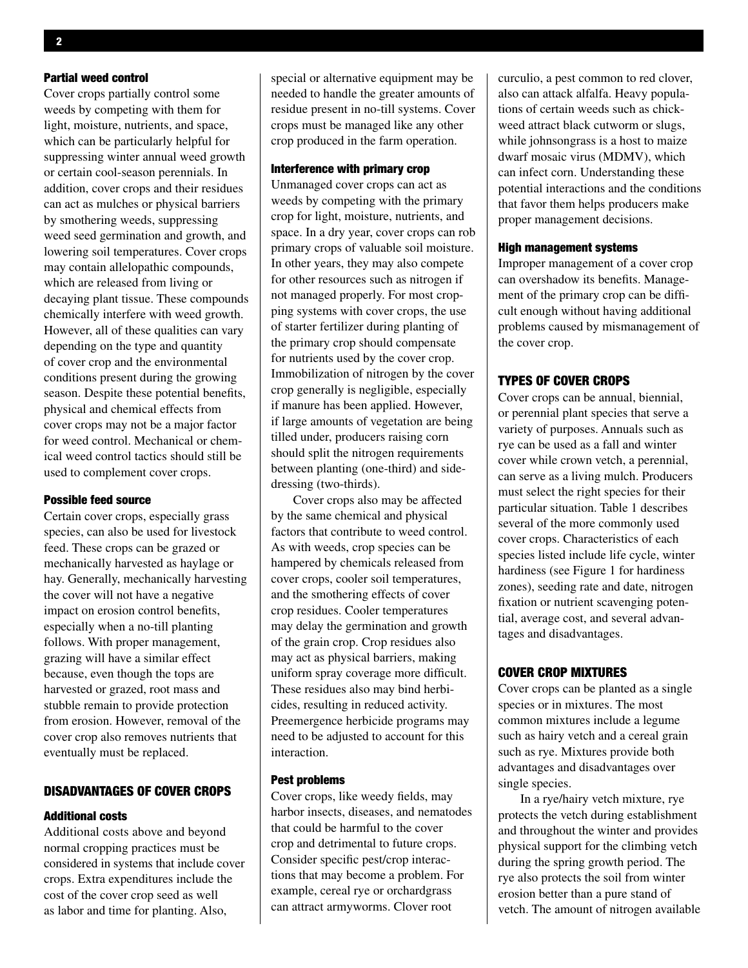#### Partial weed control

Cover crops partially control some weeds by competing with them for light, moisture, nutrients, and space, which can be particularly helpful for suppressing winter annual weed growth or certain cool-season perennials. In addition, cover crops and their residues can act as mulches or physical barriers by smothering weeds, suppressing weed seed germination and growth, and lowering soil temperatures. Cover crops may contain allelopathic compounds, which are released from living or decaying plant tissue. These compounds chemically interfere with weed growth. However, all of these qualities can vary depending on the type and quantity of cover crop and the environmental conditions present during the growing season. Despite these potential benefits, physical and chemical effects from cover crops may not be a major factor for weed control. Mechanical or chemical weed control tactics should still be used to complement cover crops.

#### Possible feed source

Certain cover crops, especially grass species, can also be used for livestock feed. These crops can be grazed or mechanically harvested as haylage or hay. Generally, mechanically harvesting the cover will not have a negative impact on erosion control benefits, especially when a no-till planting follows. With proper management, grazing will have a similar effect because, even though the tops are harvested or grazed, root mass and stubble remain to provide protection from erosion. However, removal of the cover crop also removes nutrients that eventually must be replaced.

#### Disadvantages of cover crops

#### Additional costs

Additional costs above and beyond normal cropping practices must be considered in systems that include cover crops. Extra expenditures include the cost of the cover crop seed as well as labor and time for planting. Also,

special or alternative equipment may be needed to handle the greater amounts of residue present in no-till systems. Cover crops must be managed like any other crop produced in the farm operation.

#### Interference with primary crop

Unmanaged cover crops can act as weeds by competing with the primary crop for light, moisture, nutrients, and space. In a dry year, cover crops can rob primary crops of valuable soil moisture. In other years, they may also compete for other resources such as nitrogen if not managed properly. For most cropping systems with cover crops, the use of starter fertilizer during planting of the primary crop should compensate for nutrients used by the cover crop. Immobilization of nitrogen by the cover crop generally is negligible, especially if manure has been applied. However, if large amounts of vegetation are being tilled under, producers raising corn should split the nitrogen requirements between planting (one-third) and sidedressing (two-thirds).

Cover crops also may be affected by the same chemical and physical factors that contribute to weed control. As with weeds, crop species can be hampered by chemicals released from cover crops, cooler soil temperatures, and the smothering effects of cover crop residues. Cooler temperatures may delay the germination and growth of the grain crop. Crop residues also may act as physical barriers, making uniform spray coverage more difficult. These residues also may bind herbicides, resulting in reduced activity. Preemergence herbicide programs may need to be adjusted to account for this interaction.

#### Pest problems

Cover crops, like weedy fields, may harbor insects, diseases, and nematodes that could be harmful to the cover crop and detrimental to future crops. Consider specific pest/crop interactions that may become a problem. For example, cereal rye or orchardgrass can attract armyworms. Clover root

curculio, a pest common to red clover, also can attack alfalfa. Heavy populations of certain weeds such as chickweed attract black cutworm or slugs, while johnsongrass is a host to maize dwarf mosaic virus (MDMV), which can infect corn. Understanding these potential interactions and the conditions that favor them helps producers make proper management decisions.

#### High management systems

Improper management of a cover crop can overshadow its benefits. Management of the primary crop can be difficult enough without having additional problems caused by mismanagement of the cover crop.

#### Types of Cover Crops

Cover crops can be annual, biennial, or perennial plant species that serve a variety of purposes. Annuals such as rye can be used as a fall and winter cover while crown vetch, a perennial, can serve as a living mulch. Producers must select the right species for their particular situation. Table 1 describes several of the more commonly used cover crops. Characteristics of each species listed include life cycle, winter hardiness (see Figure 1 for hardiness zones), seeding rate and date, nitrogen fixation or nutrient scavenging potential, average cost, and several advantages and disadvantages.

#### Cover Crop Mixtures

Cover crops can be planted as a single species or in mixtures. The most common mixtures include a legume such as hairy vetch and a cereal grain such as rye. Mixtures provide both advantages and disadvantages over single species.

In a rye/hairy vetch mixture, rye protects the vetch during establishment and throughout the winter and provides physical support for the climbing vetch during the spring growth period. The rye also protects the soil from winter erosion better than a pure stand of vetch. The amount of nitrogen available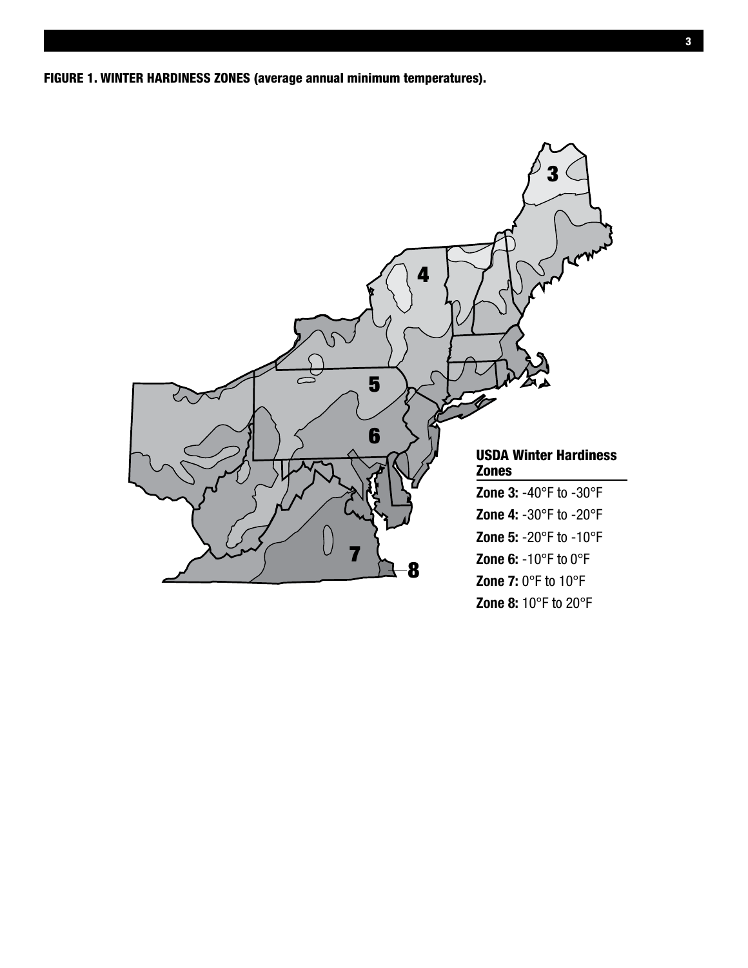Figure 1. Winter Hardiness Zones (average annual minimum temperatures).

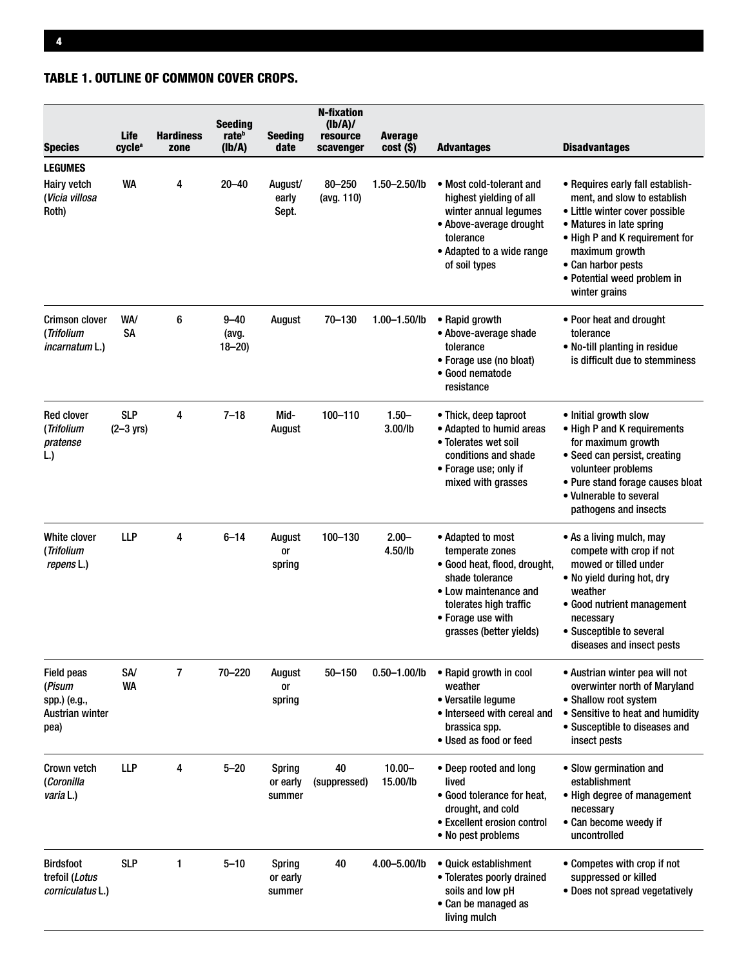# Table 1. Outline of common cover crops.

| <b>Species</b>                                                                | Life<br>cycle <sup>a</sup>  | <b>Hardiness</b><br>zone | <b>Seeding</b><br>rate <sup>b</sup><br>(Ib/A) | <b>Seeding</b><br>date              | <b>N-fixation</b><br>(lb/A)/<br>resource<br>scavenger | <b>Average</b><br>cost (\$) | <b>Advantages</b>                                                                                                                                                                          | <b>Disadvantages</b>                                                                                                                                                                                                                                    |
|-------------------------------------------------------------------------------|-----------------------------|--------------------------|-----------------------------------------------|-------------------------------------|-------------------------------------------------------|-----------------------------|--------------------------------------------------------------------------------------------------------------------------------------------------------------------------------------------|---------------------------------------------------------------------------------------------------------------------------------------------------------------------------------------------------------------------------------------------------------|
| <b>LEGUMES</b><br>Hairy vetch<br>(Vicia villosa<br>Roth)                      | WA                          | 4                        | $20 - 40$                                     | August/<br>early<br>Sept.           | $80 - 250$<br>(avg. 110)                              | $1.50 - 2.50$ /lb           | • Most cold-tolerant and<br>highest yielding of all<br>winter annual legumes<br>• Above-average drought<br>tolerance<br>• Adapted to a wide range<br>of soil types                         | • Requires early fall establish-<br>ment, and slow to establish<br>• Little winter cover possible<br>• Matures in late spring<br>• High P and K requirement for<br>maximum growth<br>• Can harbor pests<br>• Potential weed problem in<br>winter grains |
| <b>Crimson clover</b><br>(Trifolium<br><i>incarnatum</i> L.)                  | WA/<br><b>SA</b>            | 6                        | $9 - 40$<br>(avg.<br>$18 - 20$                | August                              | 70-130                                                | $1.00 - 1.50$ /lb           | • Rapid growth<br>• Above-average shade<br>tolerance<br>• Forage use (no bloat)<br>• Good nematode<br>resistance                                                                           | • Poor heat and drought<br>tolerance<br>• No-till planting in residue<br>is difficult due to stemminess                                                                                                                                                 |
| <b>Red clover</b><br>(Trifolium<br>pratense<br>L.)                            | <b>SLP</b><br>$(2 - 3$ yrs) | 4                        | $7 - 18$                                      | Mid-<br>August                      | 100-110                                               | $1.50 -$<br>3.00/lb         | • Thick, deep taproot<br>• Adapted to humid areas<br>• Tolerates wet soil<br>conditions and shade<br>• Forage use; only if<br>mixed with grasses                                           | • Initial growth slow<br>• High P and K requirements<br>for maximum growth<br>• Seed can persist, creating<br>volunteer problems<br>• Pure stand forage causes bloat<br>• Vulnerable to several<br>pathogens and insects                                |
| White clover<br>(Trifolium<br>repens L.)                                      | <b>LLP</b>                  | 4                        | $6 - 14$                                      | August<br>0r<br>spring              | 100-130                                               | $2.00 -$<br>4.50/lb         | • Adapted to most<br>temperate zones<br>• Good heat, flood, drought,<br>shade tolerance<br>• Low maintenance and<br>tolerates high traffic<br>• Forage use with<br>grasses (better yields) | • As a living mulch, may<br>compete with crop if not<br>mowed or tilled under<br>. No yield during hot, dry<br>weather<br>• Good nutrient management<br>necessary<br>• Susceptible to several<br>diseases and insect pests                              |
| <b>Field peas</b><br>(Pisum<br>spp.) (e.g.,<br><b>Austrian winter</b><br>pea) | SA/<br><b>WA</b>            | 7                        | 70-220                                        | August<br>or<br>spring              | $50 - 150$                                            | $0.50 - 1.00$ /lb           | • Rapid growth in cool<br>weather<br>• Versatile legume<br>• Interseed with cereal and<br>brassica spp.<br>• Used as food or feed                                                          | • Austrian winter pea will not<br>overwinter north of Maryland<br>• Shallow root system<br>• Sensitive to heat and humidity<br>• Susceptible to diseases and<br>insect pests                                                                            |
| Crown vetch<br>(Coronilla<br>varia L.)                                        | <b>LLP</b>                  | 4                        | $5 - 20$                                      | <b>Spring</b><br>or early<br>summer | 40<br>(suppressed)                                    | $10.00 -$<br>15.00/lb       | • Deep rooted and long<br>lived<br>• Good tolerance for heat,<br>drought, and cold<br>• Excellent erosion control<br>• No pest problems                                                    | • Slow germination and<br>establishment<br>• High degree of management<br>necessary<br>• Can become weedy if<br>uncontrolled                                                                                                                            |
| <b>Birdsfoot</b><br>trefoil (Lotus<br>corniculatus L.)                        | <b>SLP</b>                  | 1                        | $5 - 10$                                      | <b>Spring</b><br>or early<br>summer | 40                                                    | 4.00-5.00/lb                | • Quick establishment<br>• Tolerates poorly drained<br>soils and low pH<br>• Can be managed as<br>living mulch                                                                             | • Competes with crop if not<br>suppressed or killed<br>• Does not spread vegetatively                                                                                                                                                                   |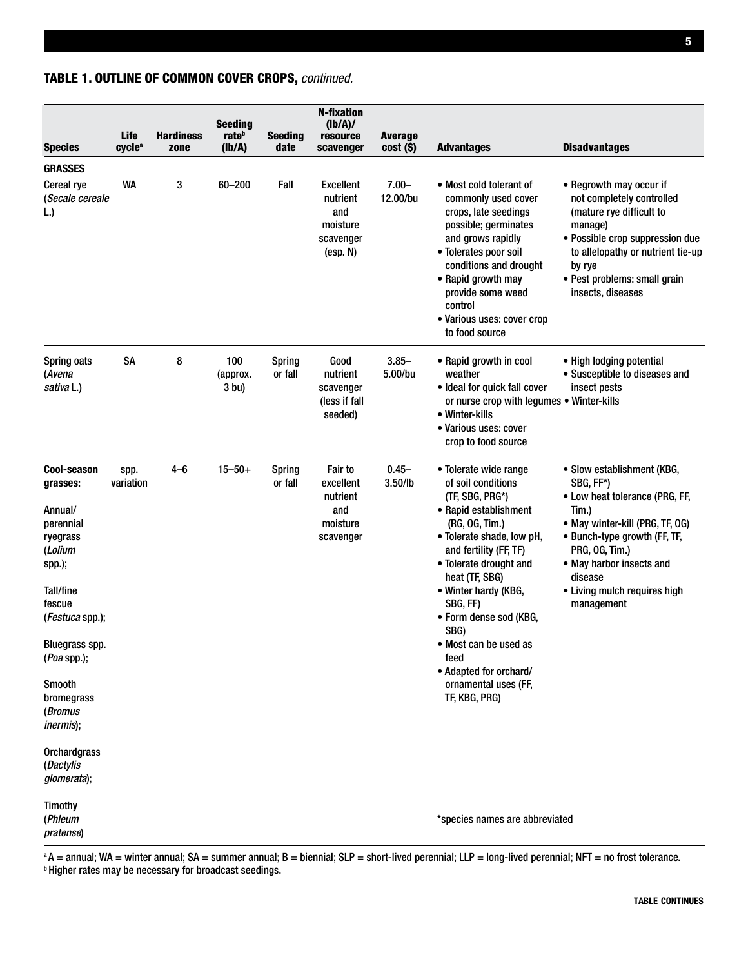## **Orchardgrass** (*Dactylis glomerata*); Timothy (*Phleum \****species names are abbreviated** *\* pratense*)

 $a$ A = annual; WA = winter annual; SA = summer annual; B = biennial; SLP = short-lived perennial; LLP = long-lived perennial; NFT = no frost tolerance. **b Higher rates may be necessary for broadcast seedings.** 

table continues

|  |  | <b>TABLE 1. OUTLINE OF COMMON COVER CROPS, continued.</b> |  |  |  |
|--|--|-----------------------------------------------------------|--|--|--|
|--|--|-----------------------------------------------------------|--|--|--|

| <b>Species</b>                                                                                                                                                                                                                                                                 | Life<br>cycle <sup>a</sup> | <b>Hardiness</b><br>zone | <b>Seeding</b><br>rate <sup>b</sup><br>(Ib/A) | <b>Seeding</b><br>date   | <b>N-fixation</b><br>(lb/A)/<br>resource<br>scavenger                    | <b>Average</b><br>cost (\$) | <b>Advantages</b>                                                                                                                                                                                                                                                                                                                                                                      | <b>Disadvantages</b>                                                                                                                                                                                                                                         |
|--------------------------------------------------------------------------------------------------------------------------------------------------------------------------------------------------------------------------------------------------------------------------------|----------------------------|--------------------------|-----------------------------------------------|--------------------------|--------------------------------------------------------------------------|-----------------------------|----------------------------------------------------------------------------------------------------------------------------------------------------------------------------------------------------------------------------------------------------------------------------------------------------------------------------------------------------------------------------------------|--------------------------------------------------------------------------------------------------------------------------------------------------------------------------------------------------------------------------------------------------------------|
| <b>GRASSES</b>                                                                                                                                                                                                                                                                 |                            |                          |                                               |                          |                                                                          |                             |                                                                                                                                                                                                                                                                                                                                                                                        |                                                                                                                                                                                                                                                              |
| Cereal rye<br>(Secale cereale<br>L.)                                                                                                                                                                                                                                           | <b>WA</b>                  | 3                        | 60-200                                        | Fall                     | <b>Excellent</b><br>nutrient<br>and<br>moisture<br>scavenger<br>(exp. N) | $7.00 -$<br>12.00/bu        | • Most cold tolerant of<br>commonly used cover<br>crops, late seedings<br>possible; germinates<br>and grows rapidly<br>• Tolerates poor soil<br>conditions and drought<br>• Rapid growth may<br>provide some weed<br>control<br>· Various uses: cover crop<br>to food source                                                                                                           | • Regrowth may occur if<br>not completely controlled<br>(mature rye difficult to<br>manage)<br>• Possible crop suppression due<br>to allelopathy or nutrient tie-up<br>by rye<br>• Pest problems: small grain<br>insects, diseases                           |
| Spring oats<br>(Avena<br>sativa L.)                                                                                                                                                                                                                                            | <b>SA</b>                  | 8                        | 100<br>(approx.<br>3 bu)                      | <b>Spring</b><br>or fall | Good<br>nutrient<br>scavenger<br>(less if fall<br>seeded)                | $3.85 -$<br>5.00/bu         | • Rapid growth in cool<br>weather<br>• Ideal for quick fall cover<br>or nurse crop with legumes . Winter-kills<br>• Winter-kills<br>• Various uses: cover<br>crop to food source                                                                                                                                                                                                       | • High lodging potential<br>• Susceptible to diseases and<br>insect pests                                                                                                                                                                                    |
| Cool-season<br>grasses:<br>Annual/<br>perennial<br>ryegrass<br>(Lolium<br>spp.);<br>Tall/fine<br>fescue<br>( <i>Festuca</i> spp.);<br>Bluegrass spp.<br>(Poa spp.);<br>Smooth<br>bromegrass<br>(Bromus<br><i>inermis</i> );<br><b>Orchardgrass</b><br>(Dactylis<br>glomerata); | spp.<br>variation          | $4 - 6$                  | $15 - 50 +$                                   | <b>Spring</b><br>or fall | <b>Fair to</b><br>excellent<br>nutrient<br>and<br>moisture<br>scavenger  | $0.45 -$<br>3.50/lb         | • Tolerate wide range<br>of soil conditions<br>(TF, SBG, PRG*)<br>• Rapid establishment<br>(RG, OG, Tim.)<br>• Tolerate shade, low pH,<br>and fertility (FF, TF)<br>• Tolerate drought and<br>heat (TF, SBG)<br>• Winter hardy (KBG,<br>SBG, FF)<br>• Form dense sod (KBG,<br>SBG)<br>• Most can be used as<br>feed<br>• Adapted for orchard/<br>ornamental uses (FF,<br>TF, KBG, PRG) | • Slow establishment (KBG,<br>SBG, FF*)<br>• Low heat tolerance (PRG, FF,<br>Tim.)<br>• May winter-kill (PRG, TF, OG)<br>• Bunch-type growth (FF, TF,<br>PRG, OG, Tim.)<br>• May harbor insects and<br>disease<br>• Living mulch requires high<br>management |
| Timothy<br>(Phleum<br>nratense)                                                                                                                                                                                                                                                |                            |                          |                                               |                          |                                                                          |                             | *species names are abbreviated                                                                                                                                                                                                                                                                                                                                                         |                                                                                                                                                                                                                                                              |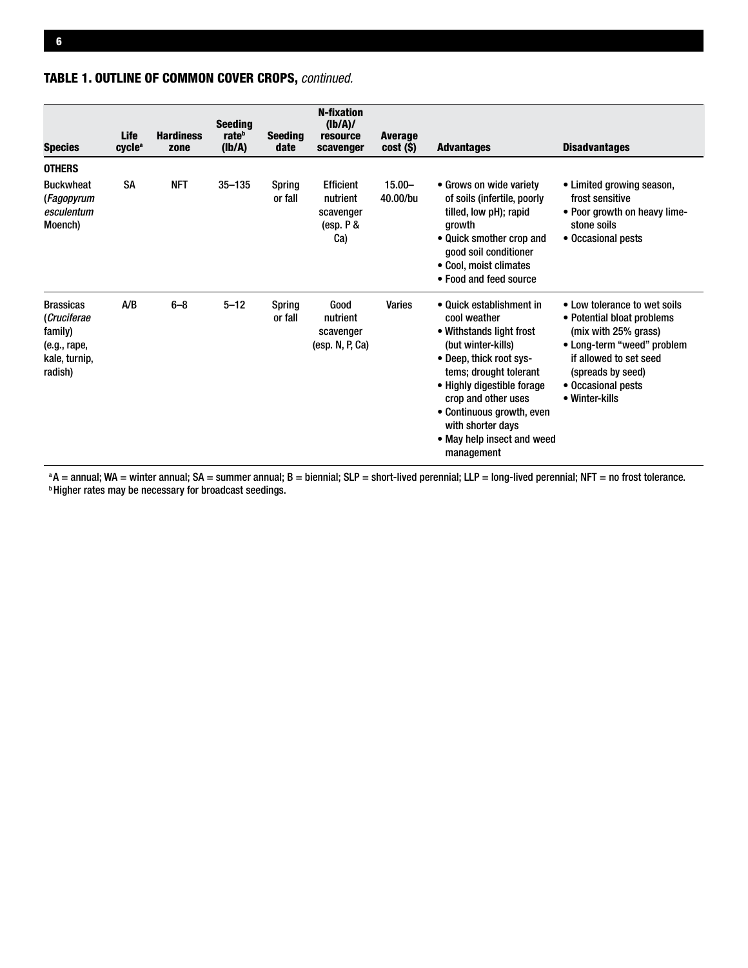# Table 1. Outline of common cover crops, *continued.*

| <b>Species</b>                                                                         | Life<br>cycle <sup>a</sup> | <b>Hardiness</b><br>zone | <b>Seeding</b><br>rate <sup>b</sup><br>(Ib/A) | <b>Seeding</b><br>date   | <b>N-fixation</b><br>(lb/A)/<br>resource<br>scavenger           | <b>Average</b><br>cost (\$) | <b>Advantages</b>                                                                                                                                                                                                                                                                                  | <b>Disadvantages</b>                                                                                                                                                                                    |
|----------------------------------------------------------------------------------------|----------------------------|--------------------------|-----------------------------------------------|--------------------------|-----------------------------------------------------------------|-----------------------------|----------------------------------------------------------------------------------------------------------------------------------------------------------------------------------------------------------------------------------------------------------------------------------------------------|---------------------------------------------------------------------------------------------------------------------------------------------------------------------------------------------------------|
| <b>OTHERS</b>                                                                          |                            |                          |                                               |                          |                                                                 |                             |                                                                                                                                                                                                                                                                                                    |                                                                                                                                                                                                         |
| <b>Buckwheat</b><br>(Fagopyrum<br>esculentum<br>Moench)                                | <b>SA</b>                  | <b>NFT</b>               | $35 - 135$                                    | Spring<br>or fall        | <b>Efficient</b><br>nutrient<br>scavenger<br>(esp. $P &$<br>Ca) | $15.00 -$<br>40.00/bu       | • Grows on wide variety<br>of soils (infertile, poorly<br>tilled, low pH); rapid<br>growth<br>• Quick smother crop and<br>good soil conditioner<br>• Cool, moist climates<br>• Food and feed source                                                                                                | • Limited growing season,<br>frost sensitive<br>• Poor growth on heavy lime-<br>stone soils<br>• Occasional pests                                                                                       |
| <b>Brassicas</b><br>(Cruciferae<br>family)<br>(e.g., rape,<br>kale, turnip,<br>radish) | A/B                        | $6 - 8$                  | $5 - 12$                                      | <b>Spring</b><br>or fall | Good<br>nutrient<br>scavenger<br>(esp. N, P, Ca)                | <b>Varies</b>               | • Quick establishment in<br>cool weather<br>• Withstands light frost<br>(but winter-kills)<br>• Deep, thick root sys-<br>tems; drought tolerant<br>• Highly digestible forage<br>crop and other uses<br>• Continuous growth, even<br>with shorter days<br>• May help insect and weed<br>management | • Low tolerance to wet soils<br>• Potential bloat problems<br>(mix with 25% grass)<br>• Long-term "weed" problem<br>if allowed to set seed<br>(spreads by seed)<br>• Occasional pests<br>• Winter-kills |

 $^{\text{a}}$ A = annual; WA = winter annual; SA = summer annual; B = biennial; SLP = short-lived perennial; LLP = long-lived perennial; NFT = no frost tolerance. **Higher rates may be necessary for broadcast seedings.**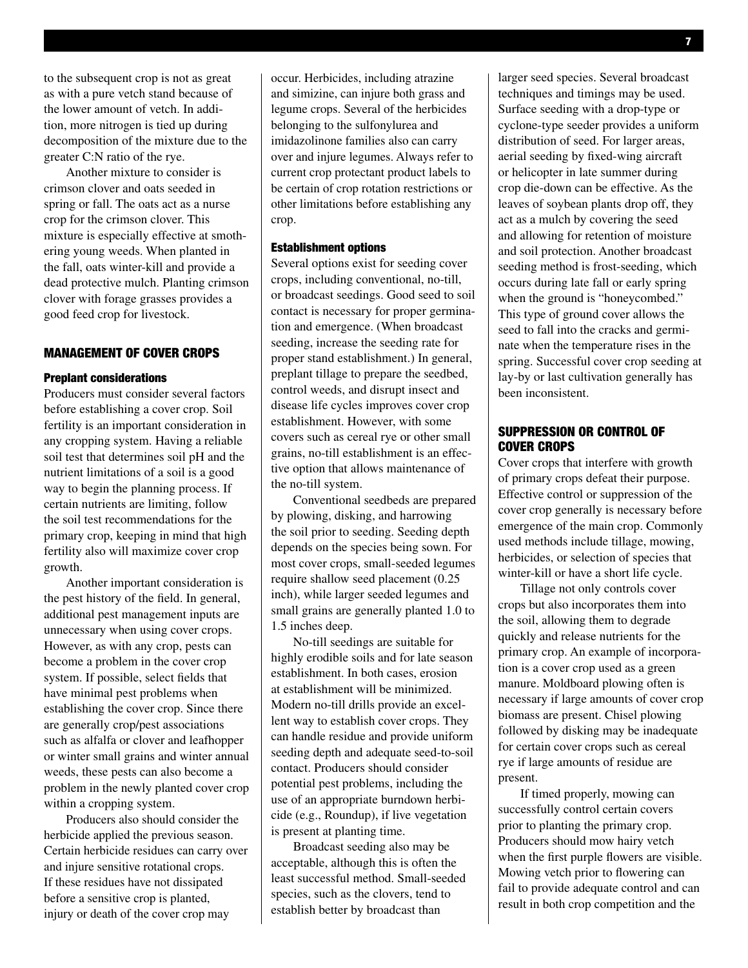to the subsequent crop is not as great as with a pure vetch stand because of the lower amount of vetch. In addition, more nitrogen is tied up during decomposition of the mixture due to the greater C:N ratio of the rye.

Another mixture to consider is crimson clover and oats seeded in spring or fall. The oats act as a nurse crop for the crimson clover. This mixture is especially effective at smothering young weeds. When planted in the fall, oats winter-kill and provide a dead protective mulch. Planting crimson clover with forage grasses provides a good feed crop for livestock.

#### Management of Cover Crops

#### Preplant considerations

Producers must consider several factors before establishing a cover crop. Soil fertility is an important consideration in any cropping system. Having a reliable soil test that determines soil pH and the nutrient limitations of a soil is a good way to begin the planning process. If certain nutrients are limiting, follow the soil test recommendations for the primary crop, keeping in mind that high fertility also will maximize cover crop growth.

Another important consideration is the pest history of the field. In general, additional pest management inputs are unnecessary when using cover crops. However, as with any crop, pests can become a problem in the cover crop system. If possible, select fields that have minimal pest problems when establishing the cover crop. Since there are generally crop/pest associations such as alfalfa or clover and leafhopper or winter small grains and winter annual weeds, these pests can also become a problem in the newly planted cover crop within a cropping system.

Producers also should consider the herbicide applied the previous season. Certain herbicide residues can carry over and injure sensitive rotational crops. If these residues have not dissipated before a sensitive crop is planted, injury or death of the cover crop may

occur. Herbicides, including atrazine and simizine, can injure both grass and legume crops. Several of the herbicides belonging to the sulfonylurea and imidazolinone families also can carry over and injure legumes. Always refer to current crop protectant product labels to be certain of crop rotation restrictions or other limitations before establishing any crop.

#### Establishment options

Several options exist for seeding cover crops, including conventional, no-till, or broadcast seedings. Good seed to soil contact is necessary for proper germination and emergence. (When broadcast seeding, increase the seeding rate for proper stand establishment.) In general, preplant tillage to prepare the seedbed, control weeds, and disrupt insect and disease life cycles improves cover crop establishment. However, with some covers such as cereal rye or other small grains, no-till establishment is an effective option that allows maintenance of the no-till system.

Conventional seedbeds are prepared by plowing, disking, and harrowing the soil prior to seeding. Seeding depth depends on the species being sown. For most cover crops, small-seeded legumes require shallow seed placement (0.25 inch), while larger seeded legumes and small grains are generally planted 1.0 to 1.5 inches deep.

No-till seedings are suitable for highly erodible soils and for late season establishment. In both cases, erosion at establishment will be minimized. Modern no-till drills provide an excellent way to establish cover crops. They can handle residue and provide uniform seeding depth and adequate seed-to-soil contact. Producers should consider potential pest problems, including the use of an appropriate burndown herbicide (e.g., Roundup), if live vegetation is present at planting time.

Broadcast seeding also may be acceptable, although this is often the least successful method. Small-seeded species, such as the clovers, tend to establish better by broadcast than

larger seed species. Several broadcast techniques and timings may be used. Surface seeding with a drop-type or cyclone-type seeder provides a uniform distribution of seed. For larger areas, aerial seeding by fixed-wing aircraft or helicopter in late summer during crop die-down can be effective. As the leaves of soybean plants drop off, they act as a mulch by covering the seed and allowing for retention of moisture and soil protection. Another broadcast seeding method is frost-seeding, which occurs during late fall or early spring when the ground is "honeycombed." This type of ground cover allows the seed to fall into the cracks and germinate when the temperature rises in the spring. Successful cover crop seeding at lay-by or last cultivation generally has been inconsistent.

#### Suppression or Control of Cover Crops

Cover crops that interfere with growth of primary crops defeat their purpose. Effective control or suppression of the cover crop generally is necessary before emergence of the main crop. Commonly used methods include tillage, mowing, herbicides, or selection of species that winter-kill or have a short life cycle.

Tillage not only controls cover crops but also incorporates them into the soil, allowing them to degrade quickly and release nutrients for the primary crop. An example of incorporation is a cover crop used as a green manure. Moldboard plowing often is necessary if large amounts of cover crop biomass are present. Chisel plowing followed by disking may be inadequate for certain cover crops such as cereal rye if large amounts of residue are present.

If timed properly, mowing can successfully control certain covers prior to planting the primary crop. Producers should mow hairy vetch when the first purple flowers are visible. Mowing vetch prior to flowering can fail to provide adequate control and can result in both crop competition and the